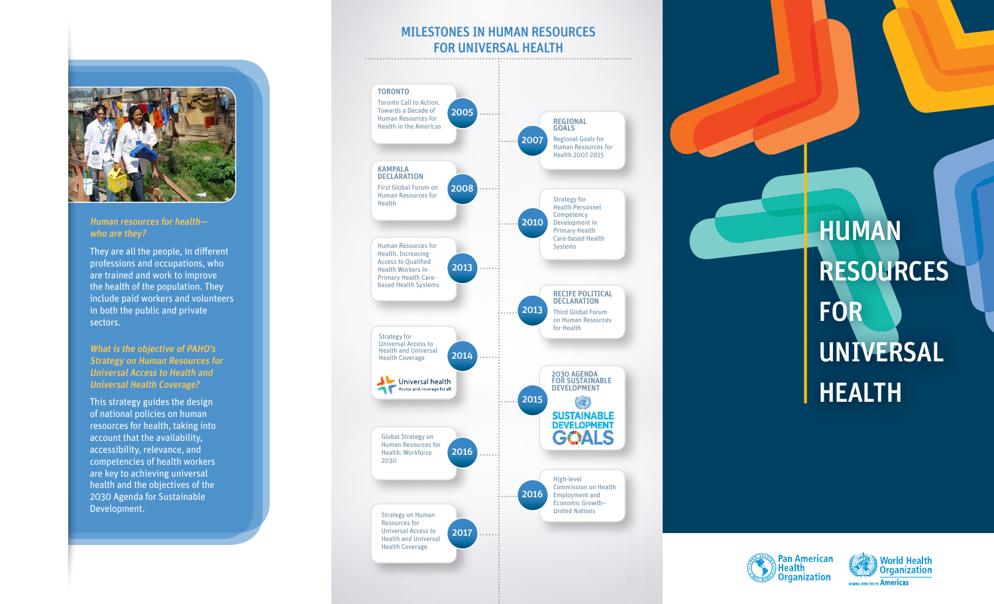#### Human resources for health who are they?

They are all the people, in different professions and occupations, who are trained and work to improve the health of the population. They include paid workers and volunteers in both the public and private sectors.

What is the objective of PAHO's Strategy on Human Resources for Universal Access to Health and Universal Health Coverage?

This strategy guides the design of national policies on human resources for health, taking into account that the availability, accessibility, relevance, and competencies of health workers are key to achieving universal health and the objectives of the 2030 Agenda for Sustainable Development.

### MILESTONES IN HUMAN RESOURCES **FOR UNIVERSAL HEALTH**



# HUMAN **RESOURCES** FOR UNIVERSAL HEALTH